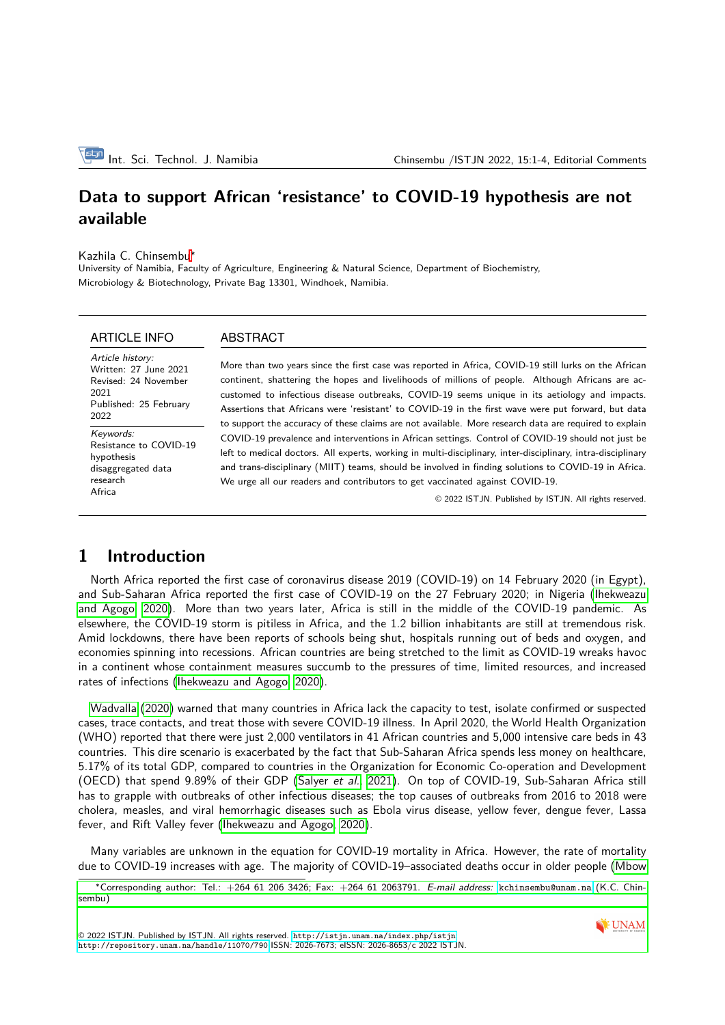# **Data to support African 'resistance' to COVID-19 hypothesis are not available**

Kazhila C. Chinsembu<sup>∗</sup>

University of Namibia, Faculty of Agriculture, Engineering & Natural Science, Department of Biochemistry, Microbiology & Biotechnology, Private Bag 13301, Windhoek, Namibia.

#### ARTICLE INFO

ABSTRACT

Article history: Written: 27 June 2021 Revised: 24 November 2021 Published: 25 February 2022 Keywords: Resistance to COVID-19 hypothesis disaggregated data research

More than two years since the first case was reported in Africa, COVID-19 still lurks on the African continent, shattering the hopes and livelihoods of millions of people. Although Africans are accustomed to infectious disease outbreaks, COVID-19 seems unique in its aetiology and impacts. Assertions that Africans were 'resistant' to COVID-19 in the first wave were put forward, but data to support the accuracy of these claims are not available. More research data are required to explain COVID-19 prevalence and interventions in African settings. Control of COVID-19 should not just be left to medical doctors. All experts, working in multi-disciplinary, inter-disciplinary, intra-disciplinary and trans-disciplinary (MIIT) teams, should be involved in finding solutions to COVID-19 in Africa. We urge all our readers and contributors to get vaccinated against COVID-19.

© 2022 ISTJN. Published by ISTJN. All rights reserved.

### **1 Introduction**

Africa

North Africa reported the first case of coronavirus disease 2019 (COVID-19) on 14 February 2020 (in Egypt), and Sub-Saharan Africa reported the first case of COVID-19 on the 27 February 2020; in Nigeria [\(Ihekweazu](#page-3-0) [and Agogo, 2020\)](#page-3-0). More than two years later, Africa is still in the middle of the COVID-19 pandemic. As elsewhere, the COVID-19 storm is pitiless in Africa, and the 1.2 billion inhabitants are still at tremendous risk. Amid lockdowns, there have been reports of schools being shut, hospitals running out of beds and oxygen, and economies spinning into recessions. African countries are being stretched to the limit as COVID-19 wreaks havoc in a continent whose containment measures succumb to the pressures of time, limited resources, and increased rates of infections [\(Ihekweazu and Agogo, 2020\)](#page-3-0).

[Wadvalla](#page-3-1) [\(2020\)](#page-3-1) warned that many countries in Africa lack the capacity to test, isolate confirmed or suspected cases, trace contacts, and treat those with severe COVID-19 illness. In April 2020, the World Health Organization (WHO) reported that there were just 2,000 ventilators in 41 African countries and 5,000 intensive care beds in 43 countries. This dire scenario is exacerbated by the fact that Sub-Saharan Africa spends less money on healthcare, 5.17% of its total GDP, compared to countries in the Organization for Economic Co-operation and Development (OECD) that spend 9.89% of their GDP [\(Salyer](#page-3-2) et al., [2021\)](#page-3-2). On top of COVID-19, Sub-Saharan Africa still has to grapple with outbreaks of other infectious diseases; the top causes of outbreaks from 2016 to 2018 were cholera, measles, and viral hemorrhagic diseases such as Ebola virus disease, yellow fever, dengue fever, Lassa fever, and Rift Valley fever [\(Ihekweazu and Agogo, 2020\)](#page-3-0).

Many variables are unknown in the equation for COVID-19 mortality in Africa. However, the rate of mortality due to COVID-19 increases with age. The majority of COVID-19–associated deaths occur in older people [\(Mbow](#page-3-3)



<sup>∗</sup>[Corresponding author: Tel.: +264 61 206 3426; Fax: +264 61 2063791.](#page-3-3) E-mail address: <kchinsembu@unam.na> (K.C. Chin[sembu\)](#page-3-3)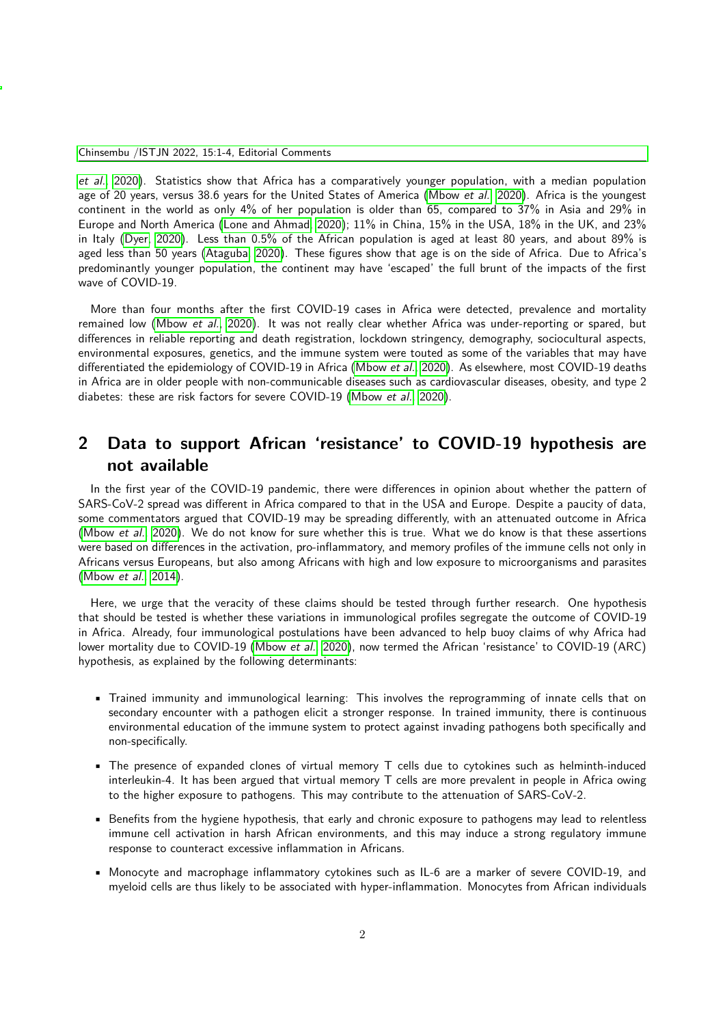[et al.](#page-3-3), [2020\)](#page-3-3). Statistics show that Africa has a comparatively younger population, with a median population age of 20 years, versus 38.6 years for the United States of America [\(Mbow](#page-3-3) et al., [2020\)](#page-3-3). Africa is the youngest continent in the world as only 4% of her population is older than 65, compared to 37% in Asia and 29% in Europe and North America [\(Lone and Ahmad, 2020\)](#page-3-4); 11% in China, 15% in the USA, 18% in the UK, and 23% in Italy [\(Dyer, 2020\)](#page-3-5). Less than 0.5% of the African population is aged at least 80 years, and about 89% is aged less than 50 years [\(Ataguba, 2020\)](#page-3-6). These figures show that age is on the side of Africa. Due to Africa's predominantly younger population, the continent may have 'escaped' the full brunt of the impacts of the first wave of COVID-19.

More than four months after the first COVID-19 cases in Africa were detected, prevalence and mortality remained low [\(Mbow](#page-3-3) et al., [2020\)](#page-3-3). It was not really clear whether Africa was under-reporting or spared, but differences in reliable reporting and death registration, lockdown stringency, demography, sociocultural aspects, environmental exposures, genetics, and the immune system were touted as some of the variables that may have differentiated the epidemiology of COVID-19 in Africa [\(Mbow](#page-3-3) et al., [2020\)](#page-3-3). As elsewhere, most COVID-19 deaths in Africa are in older people with non-communicable diseases such as cardiovascular diseases, obesity, and type 2 diabetes: these are risk factors for severe COVID-19 [\(Mbow](#page-3-3) et al., [2020\)](#page-3-3).

# **2 Data to support African 'resistance' to COVID-19 hypothesis are not available**

In the first year of the COVID-19 pandemic, there were differences in opinion about whether the pattern of SARS-CoV-2 spread was different in Africa compared to that in the USA and Europe. Despite a paucity of data, some commentators argued that COVID-19 may be spreading differently, with an attenuated outcome in Africa [\(Mbow](#page-3-3) et al., [2020\)](#page-3-3). We do not know for sure whether this is true. What we do know is that these assertions were based on differences in the activation, pro-inflammatory, and memory profiles of the immune cells not only in Africans versus Europeans, but also among Africans with high and low exposure to microorganisms and parasites [\(Mbow](#page-3-7) et al., [2014\)](#page-3-7).

Here, we urge that the veracity of these claims should be tested through further research. One hypothesis that should be tested is whether these variations in immunological profiles segregate the outcome of COVID-19 in Africa. Already, four immunological postulations have been advanced to help buoy claims of why Africa had lower mortality due to COVID-19 [\(Mbow](#page-3-3) et al., [2020\)](#page-3-3), now termed the African 'resistance' to COVID-19 (ARC) hypothesis, as explained by the following determinants:

- Trained immunity and immunological learning: This involves the reprogramming of innate cells that on secondary encounter with a pathogen elicit a stronger response. In trained immunity, there is continuous environmental education of the immune system to protect against invading pathogens both specifically and non-specifically.
- The presence of expanded clones of virtual memory T cells due to cytokines such as helminth-induced interleukin-4. It has been argued that virtual memory T cells are more prevalent in people in Africa owing to the higher exposure to pathogens. This may contribute to the attenuation of SARS-CoV-2.
- Benefits from the hygiene hypothesis, that early and chronic exposure to pathogens may lead to relentless immune cell activation in harsh African environments, and this may induce a strong regulatory immune response to counteract excessive inflammation in Africans.
- Monocyte and macrophage inflammatory cytokines such as IL-6 are a marker of severe COVID-19, and myeloid cells are thus likely to be associated with hyper-inflammation. Monocytes from African individuals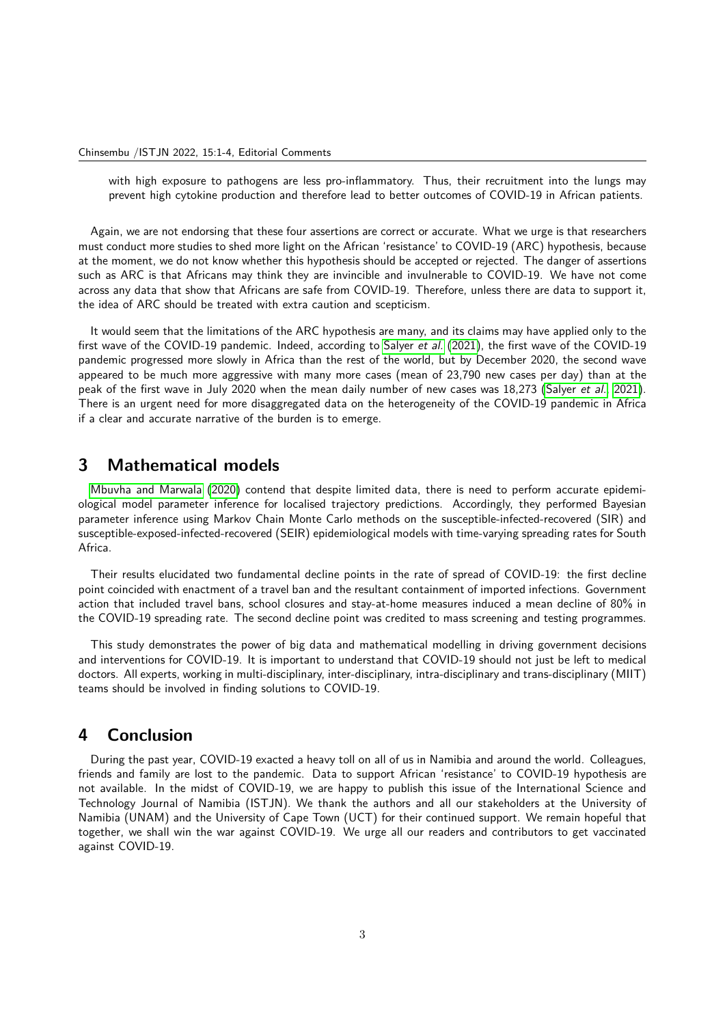with high exposure to pathogens are less pro-inflammatory. Thus, their recruitment into the lungs may prevent high cytokine production and therefore lead to better outcomes of COVID-19 in African patients.

Again, we are not endorsing that these four assertions are correct or accurate. What we urge is that researchers must conduct more studies to shed more light on the African 'resistance' to COVID-19 (ARC) hypothesis, because at the moment, we do not know whether this hypothesis should be accepted or rejected. The danger of assertions such as ARC is that Africans may think they are invincible and invulnerable to COVID-19. We have not come across any data that show that Africans are safe from COVID-19. Therefore, unless there are data to support it, the idea of ARC should be treated with extra caution and scepticism.

It would seem that the limitations of the ARC hypothesis are many, and its claims may have applied only to the first wave of the COVID-19 pandemic. Indeed, according to [Salyer](#page-3-2) et al. [\(2021\)](#page-3-2), the first wave of the COVID-19 pandemic progressed more slowly in Africa than the rest of the world, but by December 2020, the second wave appeared to be much more aggressive with many more cases (mean of 23,790 new cases per day) than at the peak of the first wave in July 2020 when the mean daily number of new cases was 18,273 [\(Salyer](#page-3-2) et al., [2021\)](#page-3-2). There is an urgent need for more disaggregated data on the heterogeneity of the COVID-19 pandemic in Africa if a clear and accurate narrative of the burden is to emerge.

### **3 Mathematical models**

[Mbuvha and Marwala](#page-3-8) [\(2020\)](#page-3-8) contend that despite limited data, there is need to perform accurate epidemiological model parameter inference for localised trajectory predictions. Accordingly, they performed Bayesian parameter inference using Markov Chain Monte Carlo methods on the susceptible-infected-recovered (SIR) and susceptible-exposed-infected-recovered (SEIR) epidemiological models with time-varying spreading rates for South Africa.

Their results elucidated two fundamental decline points in the rate of spread of COVID-19: the first decline point coincided with enactment of a travel ban and the resultant containment of imported infections. Government action that included travel bans, school closures and stay-at-home measures induced a mean decline of 80% in the COVID-19 spreading rate. The second decline point was credited to mass screening and testing programmes.

This study demonstrates the power of big data and mathematical modelling in driving government decisions and interventions for COVID-19. It is important to understand that COVID-19 should not just be left to medical doctors. All experts, working in multi-disciplinary, inter-disciplinary, intra-disciplinary and trans-disciplinary (MIIT) teams should be involved in finding solutions to COVID-19.

#### **4 Conclusion**

During the past year, COVID-19 exacted a heavy toll on all of us in Namibia and around the world. Colleagues, friends and family are lost to the pandemic. Data to support African 'resistance' to COVID-19 hypothesis are not available. In the midst of COVID-19, we are happy to publish this issue of the International Science and Technology Journal of Namibia (ISTJN). We thank the authors and all our stakeholders at the University of Namibia (UNAM) and the University of Cape Town (UCT) for their continued support. We remain hopeful that together, we shall win the war against COVID-19. We urge all our readers and contributors to get vaccinated against COVID-19.